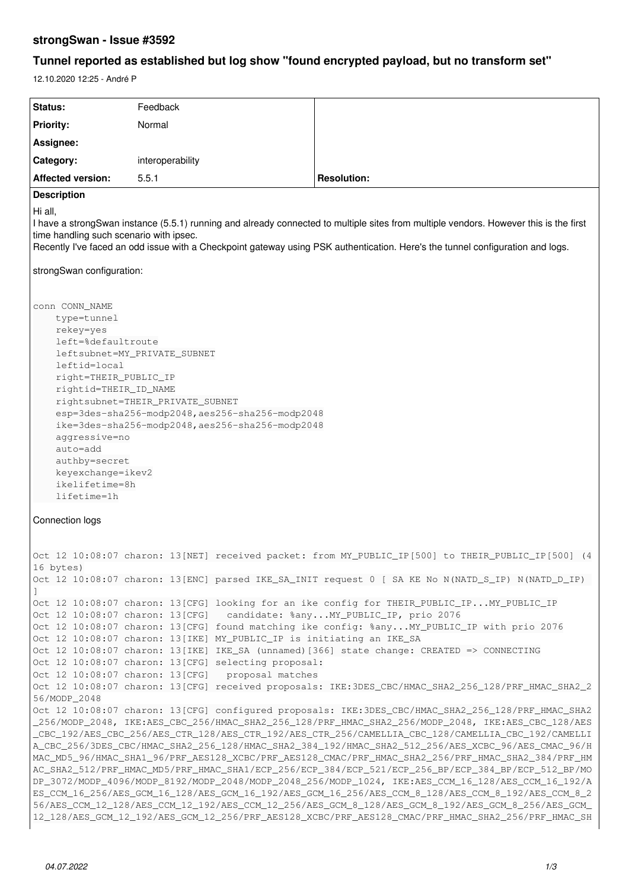## **strongSwan - Issue #3592**

# **Tunnel reported as established but log show "found encrypted payload, but no transform set"**

12.10.2020 12:25 - André P

| Status:                                                                                                                                                                                                                                                                                                                                                                                                                                                                                                                                                                                                                                                                                                                                                                                                                                                                                                                                                                                                                                                  | Feedback                                                                                                                                                                                                                                                  |                                                                                                                                                                                                                                                                                                                                                                                              |
|----------------------------------------------------------------------------------------------------------------------------------------------------------------------------------------------------------------------------------------------------------------------------------------------------------------------------------------------------------------------------------------------------------------------------------------------------------------------------------------------------------------------------------------------------------------------------------------------------------------------------------------------------------------------------------------------------------------------------------------------------------------------------------------------------------------------------------------------------------------------------------------------------------------------------------------------------------------------------------------------------------------------------------------------------------|-----------------------------------------------------------------------------------------------------------------------------------------------------------------------------------------------------------------------------------------------------------|----------------------------------------------------------------------------------------------------------------------------------------------------------------------------------------------------------------------------------------------------------------------------------------------------------------------------------------------------------------------------------------------|
| <b>Priority:</b>                                                                                                                                                                                                                                                                                                                                                                                                                                                                                                                                                                                                                                                                                                                                                                                                                                                                                                                                                                                                                                         | Normal                                                                                                                                                                                                                                                    |                                                                                                                                                                                                                                                                                                                                                                                              |
| Assignee:                                                                                                                                                                                                                                                                                                                                                                                                                                                                                                                                                                                                                                                                                                                                                                                                                                                                                                                                                                                                                                                |                                                                                                                                                                                                                                                           |                                                                                                                                                                                                                                                                                                                                                                                              |
| Category:                                                                                                                                                                                                                                                                                                                                                                                                                                                                                                                                                                                                                                                                                                                                                                                                                                                                                                                                                                                                                                                | interoperability                                                                                                                                                                                                                                          |                                                                                                                                                                                                                                                                                                                                                                                              |
| <b>Affected version:</b>                                                                                                                                                                                                                                                                                                                                                                                                                                                                                                                                                                                                                                                                                                                                                                                                                                                                                                                                                                                                                                 | 5.5.1                                                                                                                                                                                                                                                     | <b>Resolution:</b>                                                                                                                                                                                                                                                                                                                                                                           |
| <b>Description</b><br>Hi all,<br>I have a strongSwan instance (5.5.1) running and already connected to multiple sites from multiple vendors. However this is the first<br>time handling such scenario with ipsec.<br>Recently I've faced an odd issue with a Checkpoint gateway using PSK authentication. Here's the tunnel configuration and logs.<br>strongSwan configuration:                                                                                                                                                                                                                                                                                                                                                                                                                                                                                                                                                                                                                                                                         |                                                                                                                                                                                                                                                           |                                                                                                                                                                                                                                                                                                                                                                                              |
| conn CONN_NAME<br>type=tunnel<br>rekey=yes<br>left=%defaultroute<br>leftsubnet=MY_PRIVATE_SUBNET<br>leftid=local<br>right=THEIR_PUBLIC_IP<br>rightid=THEIR_ID_NAME<br>rightsubnet=THEIR_PRIVATE_SUBNET<br>esp=3des-sha256-modp2048,aes256-sha256-modp2048<br>ike=3des-sha256-modp2048, aes256-sha256-modp2048<br>aggressive=no<br>auto=add<br>authby=secret<br>keyexchange=ikev2<br>ikelifetime=8h<br>lifetime=1h                                                                                                                                                                                                                                                                                                                                                                                                                                                                                                                                                                                                                                        |                                                                                                                                                                                                                                                           |                                                                                                                                                                                                                                                                                                                                                                                              |
| Connection logs                                                                                                                                                                                                                                                                                                                                                                                                                                                                                                                                                                                                                                                                                                                                                                                                                                                                                                                                                                                                                                          |                                                                                                                                                                                                                                                           |                                                                                                                                                                                                                                                                                                                                                                                              |
| 16 bytes)                                                                                                                                                                                                                                                                                                                                                                                                                                                                                                                                                                                                                                                                                                                                                                                                                                                                                                                                                                                                                                                |                                                                                                                                                                                                                                                           | Oct 12 10:08:07 charon: 13[NET] received packet: from MY_PUBLIC_IP[500] to THEIR_PUBLIC_IP[500]                                                                                                                                                                                                                                                                                              |
|                                                                                                                                                                                                                                                                                                                                                                                                                                                                                                                                                                                                                                                                                                                                                                                                                                                                                                                                                                                                                                                          |                                                                                                                                                                                                                                                           | Oct 12 10:08:07 charon: 13[ENC] parsed IKE_SA_INIT request 0 [ SA KE No N(NATD_S_IP) N(NATD_D_IP)                                                                                                                                                                                                                                                                                            |
| 56/MODP_2048                                                                                                                                                                                                                                                                                                                                                                                                                                                                                                                                                                                                                                                                                                                                                                                                                                                                                                                                                                                                                                             | Oct 12 10:08:07 charon: 13[CFG] candidate: %anyMY_PUBLIC_IP, prio 2076<br>Oct 12 10:08:07 charon: 13[IKE] MY_PUBLIC_IP is initiating an IKE_SA<br>Oct 12 10:08:07 charon: 13[CFG] selecting proposal:<br>Oct 12 10:08:07 charon: 13[CFG] proposal matches | Oct 12 10:08:07 charon: 13 [CFG] looking for an ike config for THEIR_PUBLIC_IPMY_PUBLIC_IP<br>Oct 12 10:08:07 charon: 13[CFG] found matching ike config: %anyMY_PUBLIC_IP with prio 2076<br>Oct 12 10:08:07 charon: 13[IKE] IKE_SA (unnamed) [366] state change: CREATED => CONNECTING<br>Oct 12 10:08:07 charon: 13[CFG] received proposals: IKE:3DES_CBC/HMAC_SHA2_256_128/PRF_HMAC_SHA2_2 |
| Oct 12 10:08:07 charon: 13[CFG] configured proposals: IKE:3DES_CBC/HMAC_SHA2_256_128/PRF_HMAC_SHA2<br>_256/MODP_2048, IKE:AES_CBC_256/HMAC_SHA2_256_128/PRF_HMAC_SHA2_256/MODP_2048, IKE:AES_CBC_128/AES<br>_CBC_192/AES_CBC_256/AES_CTR_128/AES_CTR_192/AES_CTR_256/CAMELLIA_CBC_128/CAMELLIA_CBC_192/CAMELLI<br>A_CBC_256/3DES_CBC/HMAC_SHA2_256_128/HMAC_SHA2_384_192/HMAC_SHA2_512_256/AES_XCBC_96/AES_CMAC_96/H<br>MAC_MD5_96/HMAC_SHA1_96/PRF_AES128_XCBC/PRF_AES128_CMAC/PRF_HMAC_SHA2_256/PRF_HMAC_SHA2_384/PRF_HM<br>AC_SHA2_512/PRF_HMAC_MD5/PRF_HMAC_SHA1/ECP_256/ECP_384/ECP_521/ECP_256_BP/ECP_384_BP/ECP_512_BP/MO<br>DP_3072/MODP_4096/MODP_8192/MODP_2048/MODP_2048_256/MODP_1024, IKE:AES_CCM_16_128/AES_CCM_16_192/A<br>ES_CCM_16_256/AES_GCM_16_128/AES_GCM_16_192/AES_GCM_16_256/AES_CCM_8_128/AES_CCM_8_192/AES_CCM_8_2<br>56/AES_CCM_12_128/AES_CCM_12_192/AES_CCM_12_256/AES_GCM_8_128/AES_GCM_8_192/AES_GCM_8_256/AES_GCM_<br>12_128/AES_GCM_12_192/AES_GCM_12_256/PRF_AES128_XCBC/PRF_AES128_CMAC/PRF_HMAC_SHA2_256/PRF_HMAC_SH |                                                                                                                                                                                                                                                           |                                                                                                                                                                                                                                                                                                                                                                                              |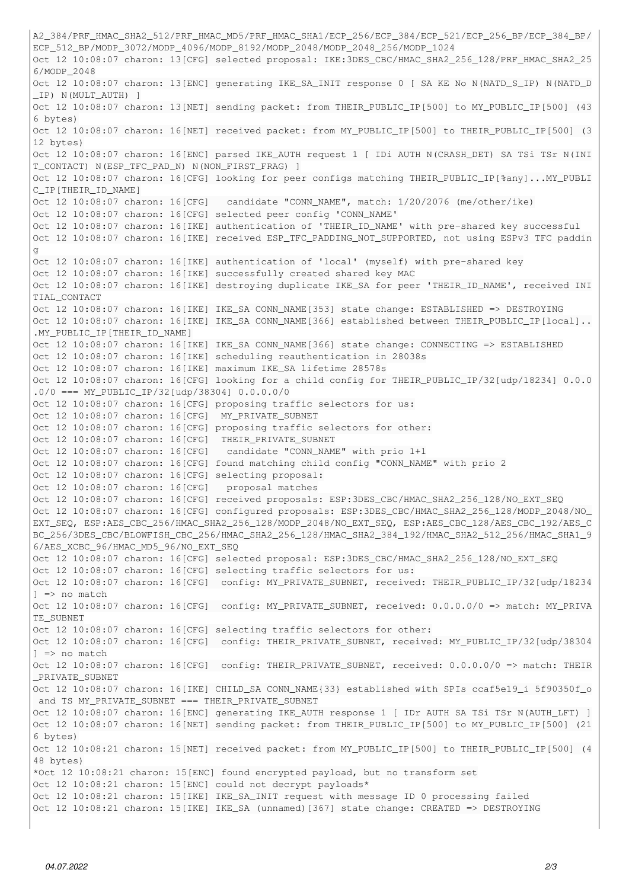```
A2_384/PRF_HMAC_SHA2_512/PRF_HMAC_MD5/PRF_HMAC_SHA1/ECP_256/ECP_384/ECP_521/ECP_256_BP/ECP_384_BP/
ECP_512_BP/MODP_3072/MODP_4096/MODP_8192/MODP_2048/MODP_2048_256/MODP_1024
Oct 12 10:08:07 charon: 13[CFG] selected proposal: IKE:3DES_CBC/HMAC_SHA2_256_128/PRF_HMAC_SHA2_25
6/MODP_2048
Oct 12 10:08:07 charon: 13[ENC] generating IKE_SA_INIT response 0 [ SA KE No N(NATD_S_IP) N(NATD_D
_IP) N(MULT_AUTH) ]
Oct 12 10:08:07 charon: 13[NET] sending packet: from THEIR_PUBLIC_IP[500] to MY_PUBLIC_IP[500] (43
6 bytes)
Oct 12 10:08:07 charon: 16[NET] received packet: from MY_PUBLIC_IP[500] to THEIR_PUBLIC_IP[500] (3
12 bytes)
Oct 12 10:08:07 charon: 16[ENC] parsed IKE_AUTH request 1 [ IDi AUTH N(CRASH_DET) SA TSi TSr N(INI
T_CONTACT) N(ESP_TFC_PAD_N) N(NON_FIRST_FRAG) ]
Oct 12 10:08:07 charon: 16[CFG] looking for peer configs matching THEIR_PUBLIC_IP[%any]...MY_PUBLI
C_IP[THEIR_ID_NAME]
Oct 12 10:08:07 charon: 16[CFG]   candidate "CONN_NAME", match: 1/20/2076 (me/other/ike)
Oct 12 10:08:07 charon: 16[CFG] selected peer config 'CONN_NAME'
Oct 12 10:08:07 charon: 16[IKE] authentication of 'THEIR_ID_NAME' with pre-shared key successful
Oct 12 10:08:07 charon: 16[IKE] received ESP_TFC_PADDING_NOT_SUPPORTED, not using ESPv3 TFC paddin
g
Oct 12 10:08:07 charon: 16[IKE] authentication of 'local' (myself) with pre-shared key
Oct 12 10:08:07 charon: 16[IKE] successfully created shared key MAC
Oct 12 10:08:07 charon: 16[IKE] destroying duplicate IKE_SA for peer 'THEIR_ID_NAME', received INI
TIAL CONTACT
Oct 12 10:08:07 charon: 16[IKE] IKE_SA CONN_NAME[353] state change: ESTABLISHED => DESTROYING
Oct 12 10:08:07 charon: 16[IKE] IKE_SA CONN_NAME[366] established between THEIR_PUBLIC_IP[local]..
.MY_PUBLIC_IP[THEIR_ID_NAME]
Oct 12 10:08:07 charon: 16[IKE] IKE_SA CONN_NAME[366] state change: CONNECTING => ESTABLISHED
Oct 12 10:08:07 charon: 16[IKE] scheduling reauthentication in 28038s
Oct 12 10:08:07 charon: 16[IKE] maximum IKE_SA lifetime 28578s
Oct 12 10:08:07 charon: 16[CFG] looking for a child config for THEIR_PUBLIC_IP/32[udp/18234] 0.0.0
.0/0 == MY_PUBLIC_IP/32[udp/38304] 0.0.0.0/0Oct 12 10:08:07 charon: 16[CFG] proposing traffic selectors for us:
Oct 12 10:08:07 charon: 16[CFG]  MY_PRIVATE_SUBNET
Oct 12 10:08:07 charon: 16[CFG] proposing traffic selectors for other:
Oct 12 10:08:07 charon: 16[CFG]  THEIR_PRIVATE_SUBNET
Oct 12 10:08:07 charon: 16[CFG]   candidate "CONN_NAME" with prio 1+1
Oct 12 10:08:07 charon: 16[CFG] found matching child config "CONN_NAME" with prio 2
Oct 12 10:08:07 charon: 16[CFG] selecting proposal:
Oct 12 10:08:07 charon: 16[CFG]   proposal matches
Oct 12 10:08:07 charon: 16[CFG] received proposals: ESP:3DES_CBC/HMAC_SHA2_256_128/NO_EXT_SEQ
Oct 12 10:08:07 charon: 16[CFG] configured proposals: ESP:3DES_CBC/HMAC_SHA2_256_128/MODP_2048/NO_
EXT_SEQ, ESP:AES_CBC_256/HMAC_SHA2_256_128/MODP_2048/NO_EXT_SEQ, ESP:AES_CBC_128/AES_CBC_192/AES_C
BC_256/3DES_CBC/BLOWFISH_CBC_256/HMAC_SHA2_256_128/HMAC_SHA2_384_192/HMAC_SHA2_512_256/HMAC_SHA1_9
6/AES_XCBC_96/HMAC_MD5_96/NO_EXT_SEQ
Oct 12 10:08:07 charon: 16[CFG] selected proposal: ESP:3DES_CBC/HMAC_SHA2_256_128/NO_EXT_SEQ
Oct 12 10:08:07 charon: 16[CFG] selecting traffic selectors for us:
Oct 12 10:08:07 charon: 16[CFG] config: MY_PRIVATE_SUBNET, received: THEIR_PUBLIC_IP/32[udp/18234
] => no match
Oct 12 10:08:07 charon: 16[CFG] config: MY_PRIVATE_SUBNET, received: 0.0.0.0/0 => match: MY_PRIVA
TE_SUBNET
Oct 12 10:08:07 charon: 16[CFG] selecting traffic selectors for other:
Oct 12 10:08:07 charon: 16[CFG] config: THEIR_PRIVATE_SUBNET, received: MY_PUBLIC_IP/32[udp/38304
] => no match
Oct 12 10:08:07 charon: 16[CFG] config: THEIR PRIVATE_SUBNET, received: 0.0.0.0/0 => match: THEIR
PRIVATE SUBNET
Oct 12 10:08:07 charon: 16[IKE] CHILD_SA CONN_NAME{33} established with SPIs ccaf5e19_i 5f90350f_o
and TS MY PRIVATE SUBNET === THEIR PRIVATE SUBNET
Oct 12 10:08:07 charon: 16[ENC] generating IKE_AUTH response 1 [ IDr AUTH SA TSi TSr N(AUTH_LFT) ]
Oct 12 10:08:07 charon: 16[NET] sending packet: from THEIR_PUBLIC_IP[500] to MY_PUBLIC_IP[500] (21
6 bytes)
Oct 12 10:08:21 charon: 15[NET] received packet: from MY_PUBLIC_IP[500] to THEIR_PUBLIC_IP[500] (4
48 bytes)
*Oct 12 10:08:21 charon: 15[ENC] found encrypted payload, but no transform set
Oct 12 10:08:21 charon: 15[ENC] could not decrypt payloads*
Oct 12 10:08:21 charon: 15[IKE] IKE_SA_INIT request with message ID 0 processing failed
Oct 12 10:08:21 charon: 15[IKE] IKE_SA (unnamed)[367] state change: CREATED => DESTROYING
```